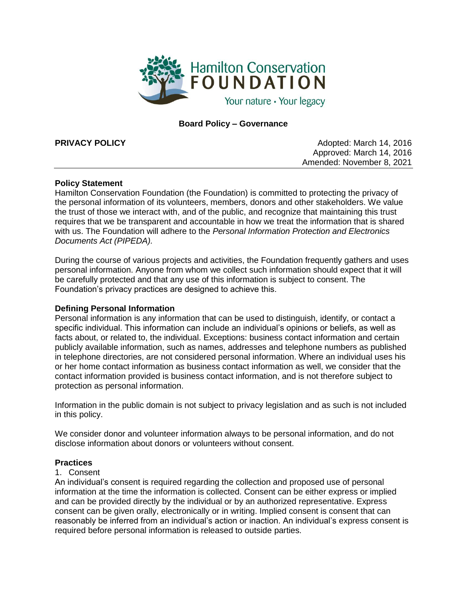

# **Board Policy – Governance**

**PRIVACY POLICY CONSUMING Adopted: March 14, 2016** Approved: March 14, 2016 Amended: November 8, 2021

## **Policy Statement**

Hamilton Conservation Foundation (the Foundation) is committed to protecting the privacy of the personal information of its volunteers, members, donors and other stakeholders. We value the trust of those we interact with, and of the public, and recognize that maintaining this trust requires that we be transparent and accountable in how we treat the information that is shared with us. The Foundation will adhere to the *Personal Information Protection and Electronics Documents Act (PIPEDA).*

During the course of various projects and activities, the Foundation frequently gathers and uses personal information. Anyone from whom we collect such information should expect that it will be carefully protected and that any use of this information is subject to consent. The Foundation's privacy practices are designed to achieve this.

# **Defining Personal Information**

Personal information is any information that can be used to distinguish, identify, or contact a specific individual. This information can include an individual's opinions or beliefs, as well as facts about, or related to, the individual. Exceptions: business contact information and certain publicly available information, such as names, addresses and telephone numbers as published in telephone directories, are not considered personal information. Where an individual uses his or her home contact information as business contact information as well, we consider that the contact information provided is business contact information, and is not therefore subject to protection as personal information.

Information in the public domain is not subject to privacy legislation and as such is not included in this policy.

We consider donor and volunteer information always to be personal information, and do not disclose information about donors or volunteers without consent.

#### **Practices**

#### 1. Consent

An individual's consent is required regarding the collection and proposed use of personal information at the time the information is collected. Consent can be either express or implied and can be provided directly by the individual or by an authorized representative. Express consent can be given orally, electronically or in writing. Implied consent is consent that can reasonably be inferred from an individual's action or inaction. An individual's express consent is required before personal information is released to outside parties.